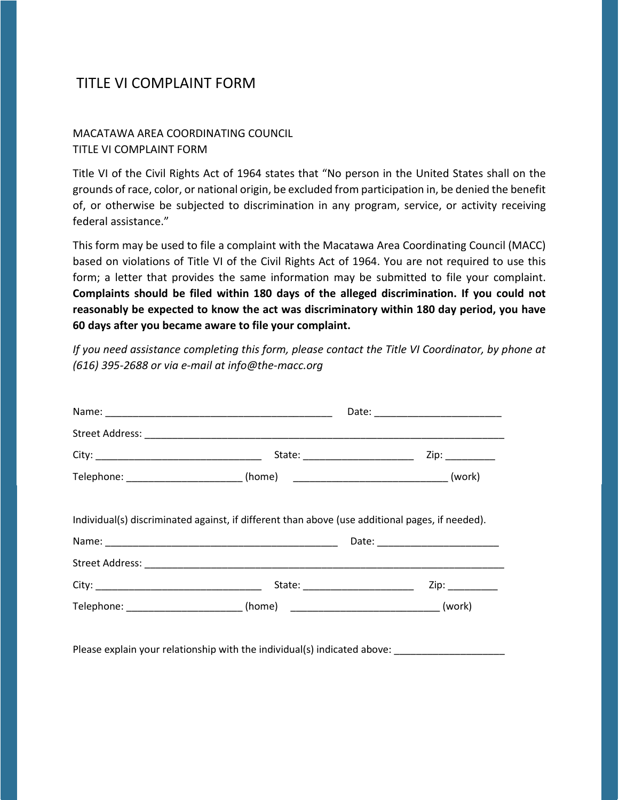## TITLE VI COMPLAINT FORM

## MACATAWA AREA COORDINATING COUNCIL TITLE VI COMPLAINT FORM

Title VI of the Civil Rights Act of 1964 states that "No person in the United States shall on the grounds of race, color, or national origin, be excluded from participation in, be denied the benefit of, or otherwise be subjected to discrimination in any program, service, or activity receiving federal assistance."

This form may be used to file a complaint with the Macatawa Area Coordinating Council (MACC) based on violations of Title VI of the Civil Rights Act of 1964. You are not required to use this form; a letter that provides the same information may be submitted to file your complaint. **Complaints should be filed within 180 days of the alleged discrimination. If you could not reasonably be expected to know the act was discriminatory within 180 day period, you have 60 days after you became aware to file your complaint.**

*If you need assistance completing this form, please contact the Title VI Coordinator, by phone at (616) 395-2688 or via e-mail at info@the-macc.org*

|                                                                                                 | Zip: _________ |  |
|-------------------------------------------------------------------------------------------------|----------------|--|
| Telephone: __________________________ (home)  __________________________________ (work)         |                |  |
| Individual(s) discriminated against, if different than above (use additional pages, if needed). |                |  |
|                                                                                                 |                |  |
|                                                                                                 |                |  |
| State: _________________________                                                                | Zip: _________ |  |
| Telephone: __________________________ (home)  __________________________________ (work)         |                |  |

Please explain your relationship with the individual(s) indicated above: